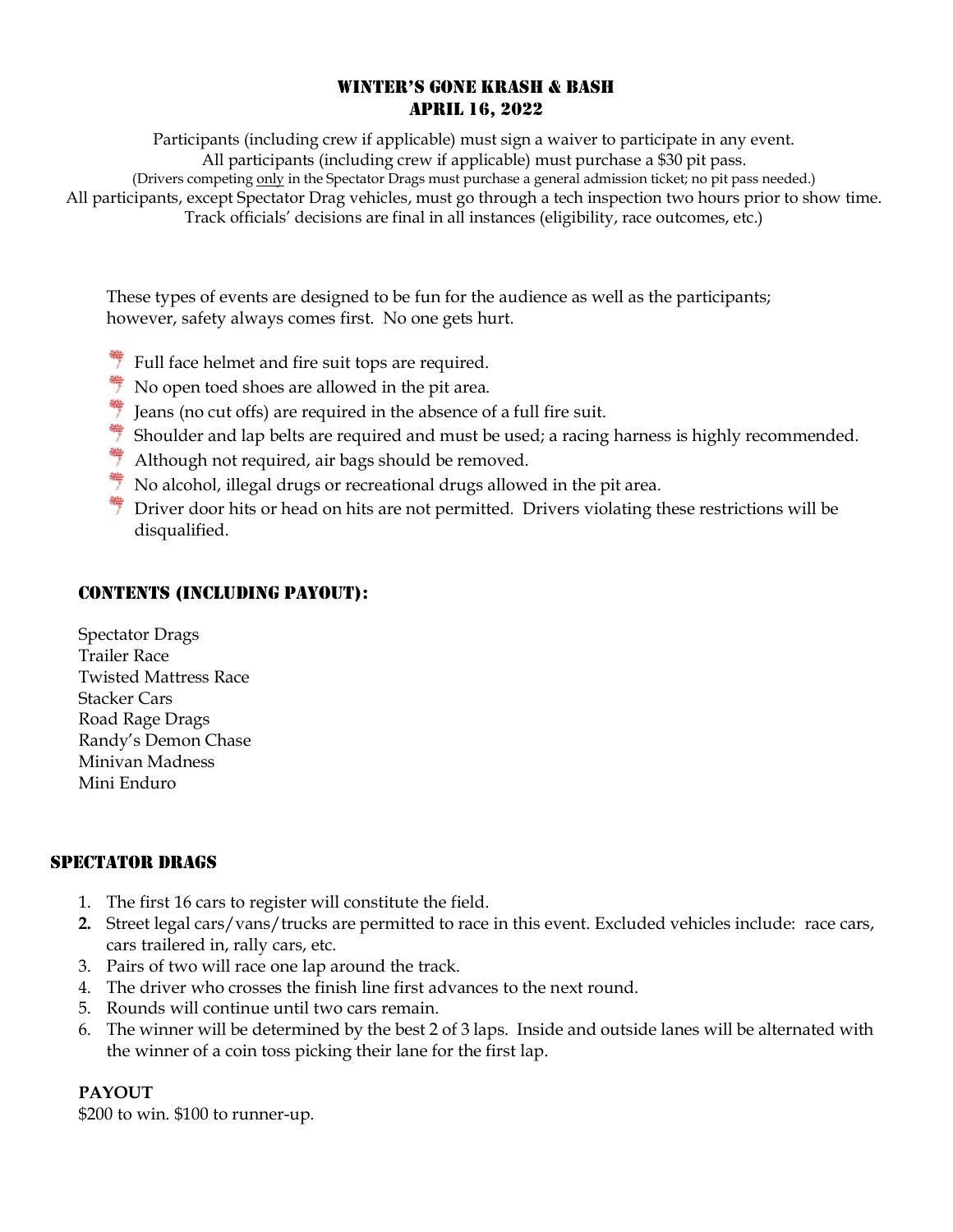### WINTER'S GONE KRASH & BASH APRIL 16, 2022

Participants (including crew if applicable) must sign a waiver to participate in any event. All participants (including crew if applicable) must purchase a \$30 pit pass. (Drivers competing only in the Spectator Drags must purchase a general admission ticket; no pit pass needed.) All participants, except Spectator Drag vehicles, must go through a tech inspection two hours prior to show time. Track officials' decisions are final in all instances (eligibility, race outcomes, etc.)

These types of events are designed to be fun for the audience as well as the participants; however, safety always comes first. No one gets hurt.

- $*$  Full face helmet and fire suit tops are required.
- $\frac{4}{7}$  No open toed shoes are allowed in the pit area.
- $\frac{4}{7}$  Jeans (no cut offs) are required in the absence of a full fire suit.
- Shoulder and lap belts are required and must be used; a racing harness is highly recommended.
- $*$  Although not required, air bags should be removed.
- No alcohol, illegal drugs or recreational drugs allowed in the pit area.
- $*$  Driver door hits or head on hits are not permitted. Drivers violating these restrictions will be disqualified.

### CONTENTS (INCLUDING PAYOUT):

Spectator Drags Trailer Race Twisted Mattress Race Stacker Cars Road Rage Drags Randy's Demon Chase Minivan Madness Mini Enduro

#### SPECTATOR DRAGS

- 1. The first 16 cars to register will constitute the field.
- **2.** Street legal cars/vans/trucks are permitted to race in this event. Excluded vehicles include: race cars, cars trailered in, rally cars, etc.
- 3. Pairs of two will race one lap around the track.
- 4. The driver who crosses the finish line first advances to the next round.
- 5. Rounds will continue until two cars remain.
- 6. The winner will be determined by the best 2 of 3 laps. Inside and outside lanes will be alternated with the winner of a coin toss picking their lane for the first lap.

#### **PAYOUT**

\$200 to win. \$100 to runner-up.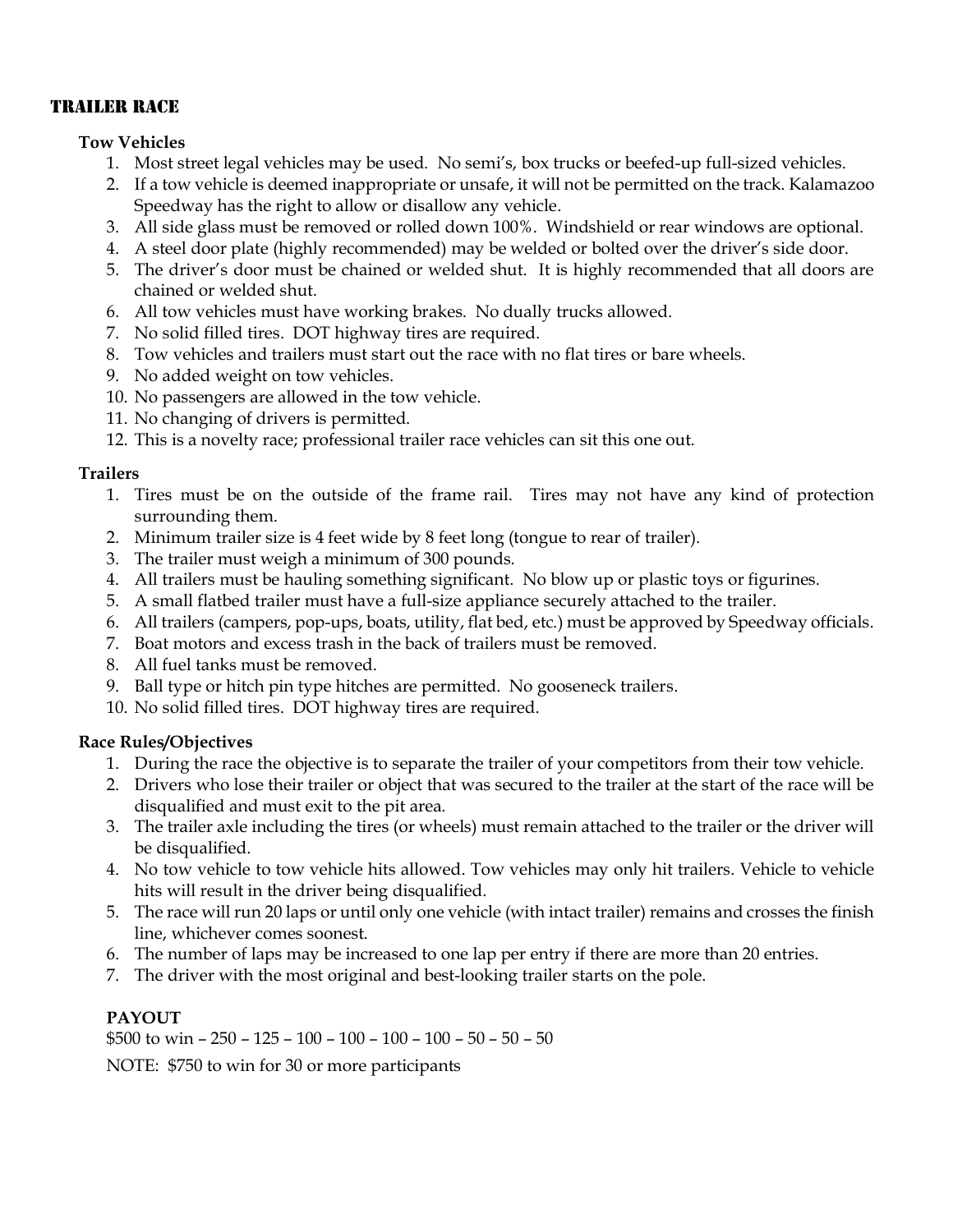# TRAILER RACE

### **Tow Vehicles**

- 1. Most street legal vehicles may be used. No semi's, box trucks or beefed-up full-sized vehicles.
- 2. If a tow vehicle is deemed inappropriate or unsafe, it will not be permitted on the track. Kalamazoo Speedway has the right to allow or disallow any vehicle.
- 3. All side glass must be removed or rolled down 100%. Windshield or rear windows are optional.
- 4. A steel door plate (highly recommended) may be welded or bolted over the driver's side door.
- 5. The driver's door must be chained or welded shut. It is highly recommended that all doors are chained or welded shut.
- 6. All tow vehicles must have working brakes. No dually trucks allowed.
- 7. No solid filled tires. DOT highway tires are required.
- 8. Tow vehicles and trailers must start out the race with no flat tires or bare wheels.
- 9. No added weight on tow vehicles.
- 10. No passengers are allowed in the tow vehicle.
- 11. No changing of drivers is permitted.
- 12. This is a novelty race; professional trailer race vehicles can sit this one out.

### **Trailers**

- 1. Tires must be on the outside of the frame rail. Tires may not have any kind of protection surrounding them.
- 2. Minimum trailer size is 4 feet wide by 8 feet long (tongue to rear of trailer).
- 3. The trailer must weigh a minimum of 300 pounds.
- 4. All trailers must be hauling something significant. No blow up or plastic toys or figurines.
- 5. A small flatbed trailer must have a full-size appliance securely attached to the trailer.
- 6. All trailers (campers, pop-ups, boats, utility, flat bed, etc.) must be approved by Speedway officials.
- 7. Boat motors and excess trash in the back of trailers must be removed.
- 8. All fuel tanks must be removed.
- 9. Ball type or hitch pin type hitches are permitted. No gooseneck trailers.
- 10. No solid filled tires. DOT highway tires are required.

# **Race Rules/Objectives**

- 1. During the race the objective is to separate the trailer of your competitors from their tow vehicle.
- 2. Drivers who lose their trailer or object that was secured to the trailer at the start of the race will be disqualified and must exit to the pit area.
- 3. The trailer axle including the tires (or wheels) must remain attached to the trailer or the driver will be disqualified.
- 4. No tow vehicle to tow vehicle hits allowed. Tow vehicles may only hit trailers. Vehicle to vehicle hits will result in the driver being disqualified.
- 5. The race will run 20 laps or until only one vehicle (with intact trailer) remains and crosses the finish line, whichever comes soonest.
- 6. The number of laps may be increased to one lap per entry if there are more than 20 entries.
- 7. The driver with the most original and best-looking trailer starts on the pole.

# **PAYOUT**

\$500 to win – 250 – 125 – 100 – 100 – 100 – 100 – 50 – 50 – 50

NOTE: \$750 to win for 30 or more participants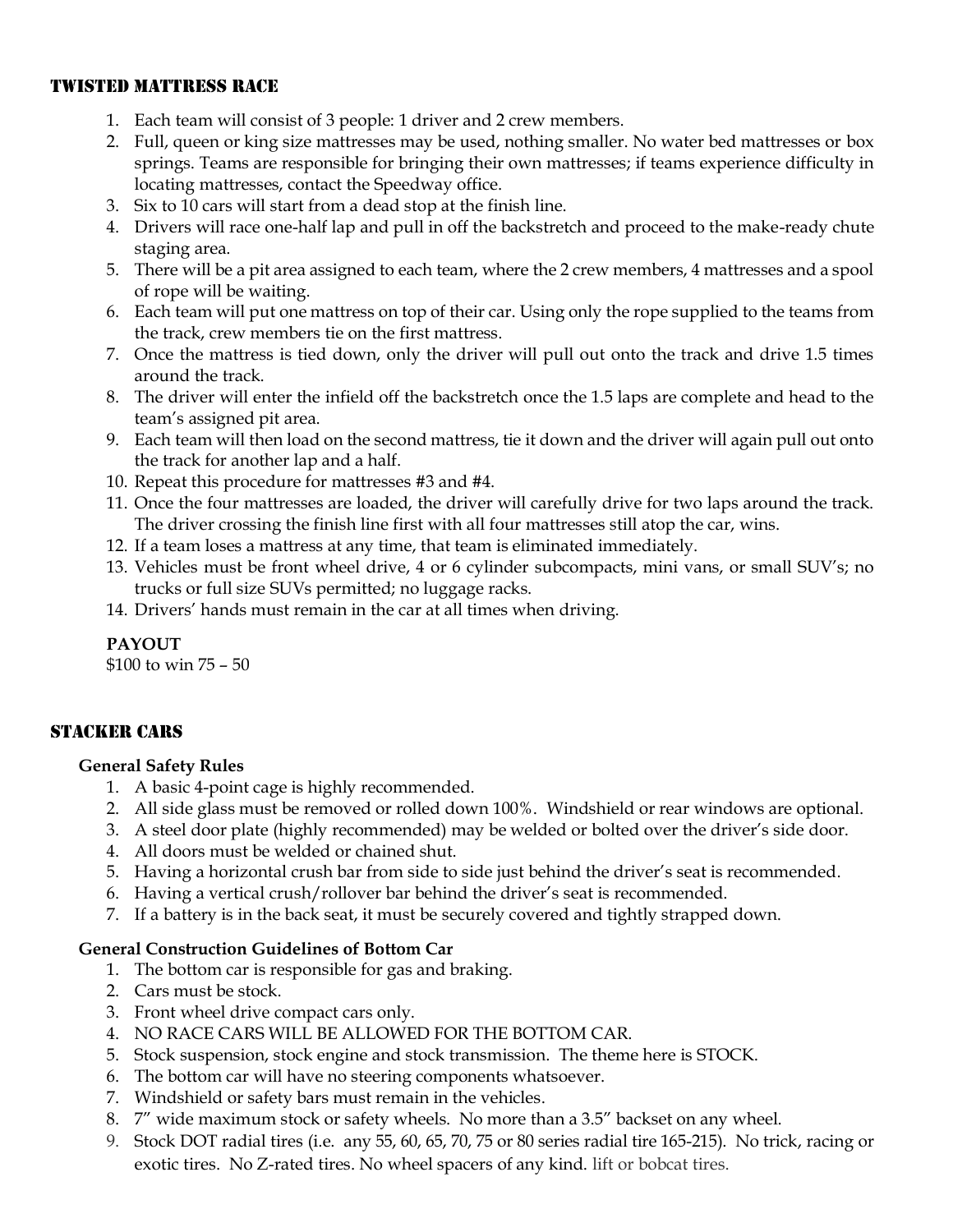# TWISTED MATTRESS RACE

- 1. Each team will consist of 3 people: 1 driver and 2 crew members.
- 2. Full, queen or king size mattresses may be used, nothing smaller. No water bed mattresses or box springs. Teams are responsible for bringing their own mattresses; if teams experience difficulty in locating mattresses, contact the Speedway office.
- 3. Six to 10 cars will start from a dead stop at the finish line.
- 4. Drivers will race one-half lap and pull in off the backstretch and proceed to the make-ready chute staging area.
- 5. There will be a pit area assigned to each team, where the 2 crew members, 4 mattresses and a spool of rope will be waiting.
- 6. Each team will put one mattress on top of their car. Using only the rope supplied to the teams from the track, crew members tie on the first mattress.
- 7. Once the mattress is tied down, only the driver will pull out onto the track and drive 1.5 times around the track.
- 8. The driver will enter the infield off the backstretch once the 1.5 laps are complete and head to the team's assigned pit area.
- 9. Each team will then load on the second mattress, tie it down and the driver will again pull out onto the track for another lap and a half.
- 10. Repeat this procedure for mattresses #3 and #4.
- 11. Once the four mattresses are loaded, the driver will carefully drive for two laps around the track. The driver crossing the finish line first with all four mattresses still atop the car, wins.
- 12. If a team loses a mattress at any time, that team is eliminated immediately.
- 13. Vehicles must be front wheel drive, 4 or 6 cylinder subcompacts, mini vans, or small SUV's; no trucks or full size SUVs permitted; no luggage racks.
- 14. Drivers' hands must remain in the car at all times when driving.

#### **PAYOUT**

\$100 to win 75 – 50

# STACKER CARS

#### **General Safety Rules**

- 1. A basic 4-point cage is highly recommended.
- 2. All side glass must be removed or rolled down 100%. Windshield or rear windows are optional.
- 3. A steel door plate (highly recommended) may be welded or bolted over the driver's side door.
- 4. All doors must be welded or chained shut.
- 5. Having a horizontal crush bar from side to side just behind the driver's seat is recommended.
- 6. Having a vertical crush/rollover bar behind the driver's seat is recommended.
- 7. If a battery is in the back seat, it must be securely covered and tightly strapped down.

#### **General Construction Guidelines of Bottom Car**

- 1. The bottom car is responsible for gas and braking.
- 2. Cars must be stock.
- 3. Front wheel drive compact cars only.
- 4. NO RACE CARS WILL BE ALLOWED FOR THE BOTTOM CAR.
- 5. Stock suspension, stock engine and stock transmission. The theme here is STOCK.
- 6. The bottom car will have no steering components whatsoever.
- 7. Windshield or safety bars must remain in the vehicles.
- 8. 7" wide maximum stock or safety wheels. No more than a 3.5" backset on any wheel.
- 9. Stock DOT radial tires (i.e. any 55, 60, 65, 70, 75 or 80 series radial tire 165-215). No trick, racing or exotic tires. No Z-rated tires. No wheel spacers of any kind. lift or bobcat tires.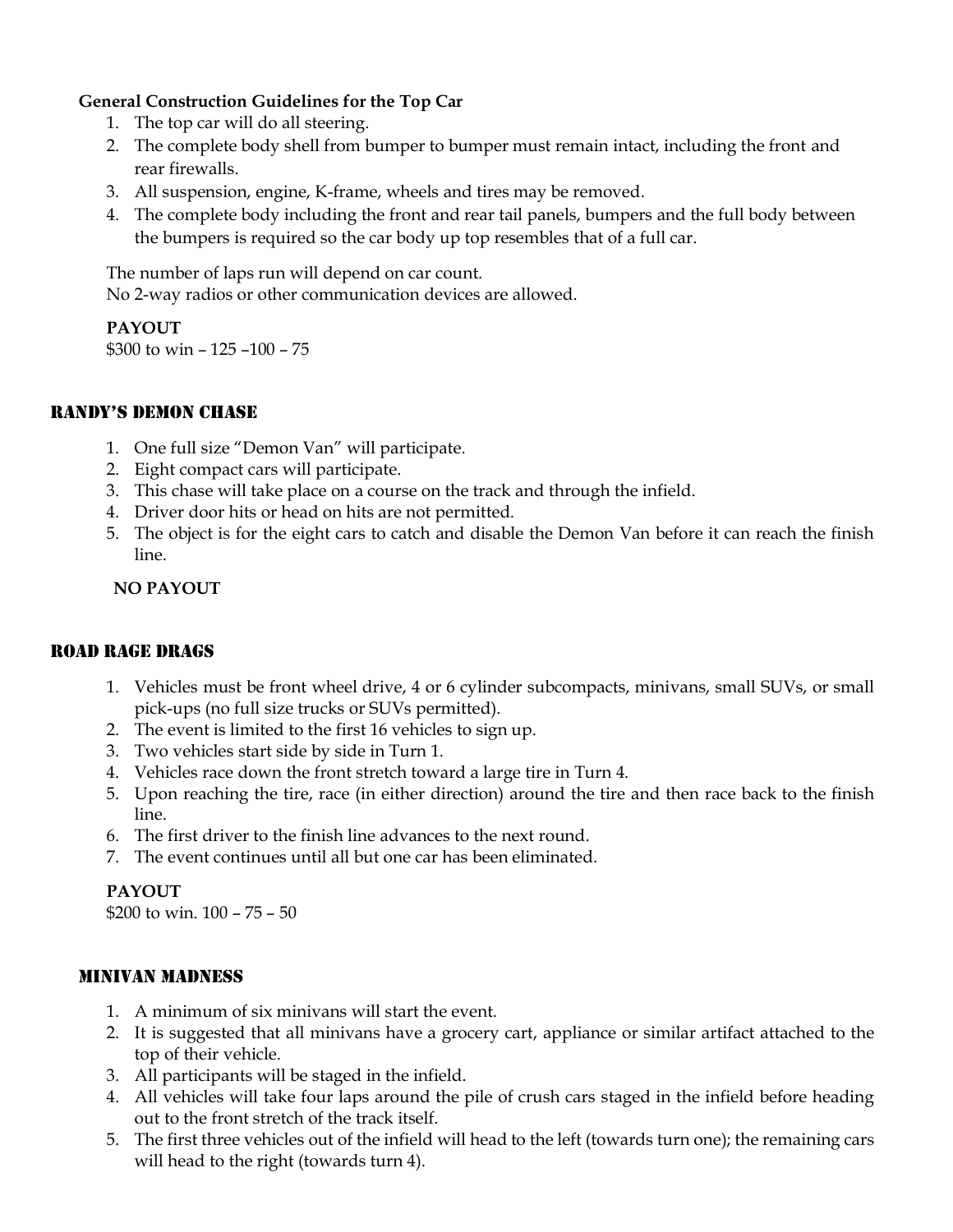# **General Construction Guidelines for the Top Car**

- 1. The top car will do all steering.
- 2. The complete body shell from bumper to bumper must remain intact, including the front and rear firewalls.
- 3. All suspension, engine, K-frame, wheels and tires may be removed.
- 4. The complete body including the front and rear tail panels, bumpers and the full body between the bumpers is required so the car body up top resembles that of a full car.

The number of laps run will depend on car count. No 2-way radios or other communication devices are allowed.

### **PAYOUT**

\$300 to win – 125 –100 – 75

### RANDY'S DEMON CHASE

- 1. One full size "Demon Van" will participate.
- 2. Eight compact cars will participate.
- 3. This chase will take place on a course on the track and through the infield.
- 4. Driver door hits or head on hits are not permitted.
- 5. The object is for the eight cars to catch and disable the Demon Van before it can reach the finish line.

### **NO PAYOUT**

#### ROAD RAGE DRAGS

- 1. Vehicles must be front wheel drive, 4 or 6 cylinder subcompacts, minivans, small SUVs, or small pick-ups (no full size trucks or SUVs permitted).
- 2. The event is limited to the first 16 vehicles to sign up.
- 3. Two vehicles start side by side in Turn 1.
- 4. Vehicles race down the front stretch toward a large tire in Turn 4.
- 5. Upon reaching the tire, race (in either direction) around the tire and then race back to the finish line.
- 6. The first driver to the finish line advances to the next round.
- 7. The event continues until all but one car has been eliminated.

# **PAYOUT**

\$200 to win. 100 – 75 – 50

# MINIVAN MADNESS

- 1. A minimum of six minivans will start the event.
- 2. It is suggested that all minivans have a grocery cart, appliance or similar artifact attached to the top of their vehicle.
- 3. All participants will be staged in the infield.
- 4. All vehicles will take four laps around the pile of crush cars staged in the infield before heading out to the front stretch of the track itself.
- 5. The first three vehicles out of the infield will head to the left (towards turn one); the remaining cars will head to the right (towards turn 4).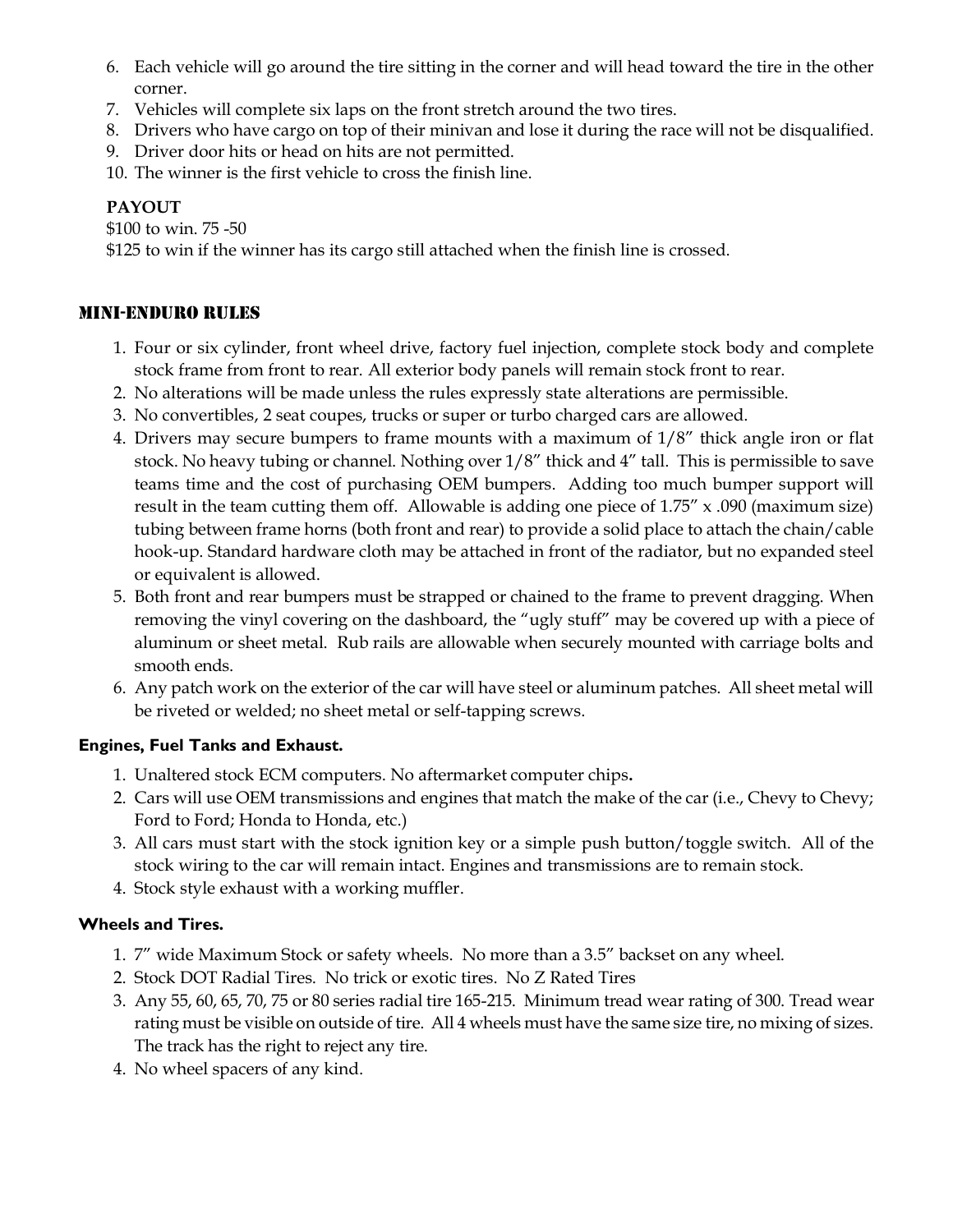- 6. Each vehicle will go around the tire sitting in the corner and will head toward the tire in the other corner.
- 7. Vehicles will complete six laps on the front stretch around the two tires.
- 8. Drivers who have cargo on top of their minivan and lose it during the race will not be disqualified.
- 9. Driver door hits or head on hits are not permitted.
- 10. The winner is the first vehicle to cross the finish line.

# **PAYOUT**

\$100 to win. 75 -50

\$125 to win if the winner has its cargo still attached when the finish line is crossed.

# MINI-ENDURO RULES

- 1. Four or six cylinder, front wheel drive, factory fuel injection, complete stock body and complete stock frame from front to rear. All exterior body panels will remain stock front to rear.
- 2. No alterations will be made unless the rules expressly state alterations are permissible.
- 3. No convertibles, 2 seat coupes, trucks or super or turbo charged cars are allowed.
- 4. Drivers may secure bumpers to frame mounts with a maximum of 1/8" thick angle iron or flat stock. No heavy tubing or channel. Nothing over 1/8" thick and 4" tall. This is permissible to save teams time and the cost of purchasing OEM bumpers. Adding too much bumper support will result in the team cutting them off. Allowable is adding one piece of 1.75" x .090 (maximum size) tubing between frame horns (both front and rear) to provide a solid place to attach the chain/cable hook-up. Standard hardware cloth may be attached in front of the radiator, but no expanded steel or equivalent is allowed.
- 5. Both front and rear bumpers must be strapped or chained to the frame to prevent dragging. When removing the vinyl covering on the dashboard, the "ugly stuff" may be covered up with a piece of aluminum or sheet metal. Rub rails are allowable when securely mounted with carriage bolts and smooth ends.
- 6. Any patch work on the exterior of the car will have steel or aluminum patches. All sheet metal will be riveted or welded; no sheet metal or self-tapping screws.

# **Engines, Fuel Tanks and Exhaust.**

- 1. Unaltered stock ECM computers. No aftermarket computer chips**.**
- 2. Cars will use OEM transmissions and engines that match the make of the car (i.e., Chevy to Chevy; Ford to Ford; Honda to Honda, etc.)
- 3. All cars must start with the stock ignition key or a simple push button/toggle switch. All of the stock wiring to the car will remain intact. Engines and transmissions are to remain stock.
- 4. Stock style exhaust with a working muffler.

# **Wheels and Tires.**

- 1. 7" wide Maximum Stock or safety wheels. No more than a 3.5" backset on any wheel.
- 2. Stock DOT Radial Tires. No trick or exotic tires. No Z Rated Tires
- 3. Any 55, 60, 65, 70, 75 or 80 series radial tire 165-215. Minimum tread wear rating of 300. Tread wear rating must be visible on outside of tire. All 4 wheels must have the same size tire, no mixing of sizes. The track has the right to reject any tire.
- 4. No wheel spacers of any kind.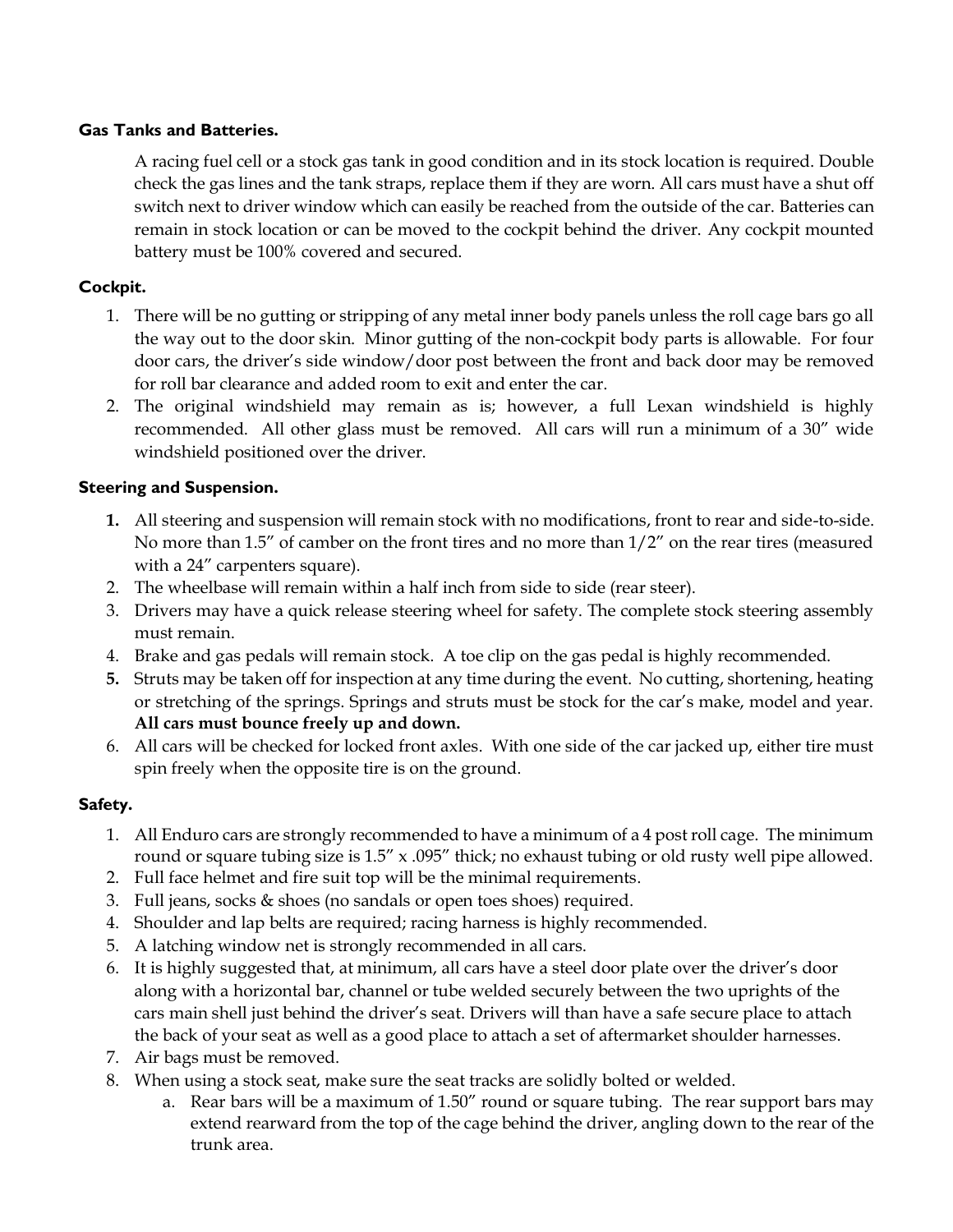### **Gas Tanks and Batteries.**

A racing fuel cell or a stock gas tank in good condition and in its stock location is required. Double check the gas lines and the tank straps, replace them if they are worn. All cars must have a shut off switch next to driver window which can easily be reached from the outside of the car. Batteries can remain in stock location or can be moved to the cockpit behind the driver. Any cockpit mounted battery must be 100% covered and secured.

# **Cockpit.**

- 1. There will be no gutting or stripping of any metal inner body panels unless the roll cage bars go all the way out to the door skin. Minor gutting of the non-cockpit body parts is allowable. For four door cars, the driver's side window/door post between the front and back door may be removed for roll bar clearance and added room to exit and enter the car.
- 2. The original windshield may remain as is; however, a full Lexan windshield is highly recommended. All other glass must be removed. All cars will run a minimum of a 30" wide windshield positioned over the driver.

### **Steering and Suspension.**

- **1.** All steering and suspension will remain stock with no modifications, front to rear and side-to-side. No more than 1.5" of camber on the front tires and no more than 1/2" on the rear tires (measured with a 24" carpenters square).
- 2. The wheelbase will remain within a half inch from side to side (rear steer).
- 3. Drivers may have a quick release steering wheel for safety. The complete stock steering assembly must remain.
- 4. Brake and gas pedals will remain stock. A toe clip on the gas pedal is highly recommended.
- **5.** Struts may be taken off for inspection at any time during the event. No cutting, shortening, heating or stretching of the springs. Springs and struts must be stock for the car's make, model and year. **All cars must bounce freely up and down.**
- 6. All cars will be checked for locked front axles. With one side of the car jacked up, either tire must spin freely when the opposite tire is on the ground.

# **Safety.**

- 1. All Enduro cars are strongly recommended to have a minimum of a 4 post roll cage. The minimum round or square tubing size is 1.5" x .095" thick; no exhaust tubing or old rusty well pipe allowed.
- 2. Full face helmet and fire suit top will be the minimal requirements.
- 3. Full jeans, socks & shoes (no sandals or open toes shoes) required.
- 4. Shoulder and lap belts are required; racing harness is highly recommended.
- 5. A latching window net is strongly recommended in all cars.
- 6. It is highly suggested that, at minimum, all cars have a steel door plate over the driver's door along with a horizontal bar, channel or tube welded securely between the two uprights of the cars main shell just behind the driver's seat. Drivers will than have a safe secure place to attach the back of your seat as well as a good place to attach a set of aftermarket shoulder harnesses.
- 7. Air bags must be removed.
- 8. When using a stock seat, make sure the seat tracks are solidly bolted or welded.
	- a. Rear bars will be a maximum of 1.50" round or square tubing. The rear support bars may extend rearward from the top of the cage behind the driver, angling down to the rear of the trunk area.